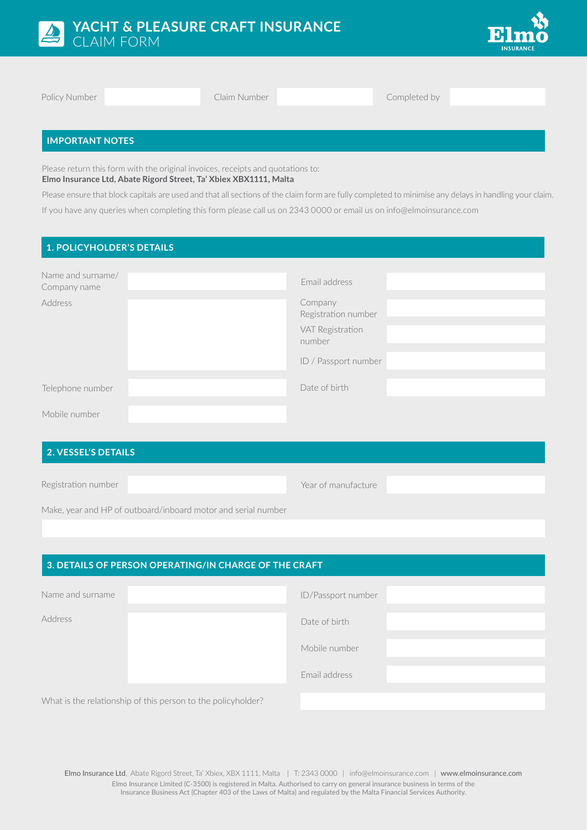



Policy Number **Claim Number** Claim Number **Completed by** 

# **IMPORTANT NOTES**

Please return this form with the original invoices, receipts and quotations to: **Elmo Insurance Ltd, Abate Rigord Street, Ta' Xbiex XBX1111, Malta**

Please ensure that block capitals are used and that all sections of the claim form are fully completed to minimise any delays in handling your claim. If you have any queries when completing this form please call us on 2343 0000 or email us on info@elmoinsurance.com

#### **1. POLICYHOLDER'S DETAILS**

| Name and surname/<br>Company name | Email address                  |
|-----------------------------------|--------------------------------|
| Address                           | Company<br>Registration number |
|                                   | VAT Registration<br>number     |
|                                   | ID / Passport number           |
| Telephone number                  | Date of birth                  |
| Mobile number                     |                                |

# **2. VESSEL'S DETAILS**

Registration number

Year of manufacture

Make, year and HP of outboard/inboard motor and serial number

| 3. DETAILS OF PERSON OPERATING/IN CHARGE OF THE CRAFT |                                                              |                    |  |  |  |  |
|-------------------------------------------------------|--------------------------------------------------------------|--------------------|--|--|--|--|
| Name and surname                                      |                                                              | ID/Passport number |  |  |  |  |
| Address                                               |                                                              | Date of birth      |  |  |  |  |
|                                                       |                                                              | Mobile number      |  |  |  |  |
|                                                       |                                                              | Email address      |  |  |  |  |
|                                                       | What is the relationship of this person to the policyholder? |                    |  |  |  |  |

Elmo Insurance Ltd, Abate Rigord Street, Ta' Xbiex, XBX 1111, Malta | T: 2343 0000 | info@elmoinsurance.com | www.elmoinsurance.com Elmo Insurance Limited (C-3500) is registered in Malta. Authorised to carry on general insurance business in terms of the Insurance Business Act (Chapter 403 of the Laws of Malta) and regulated by the Malta Financial Services Authority.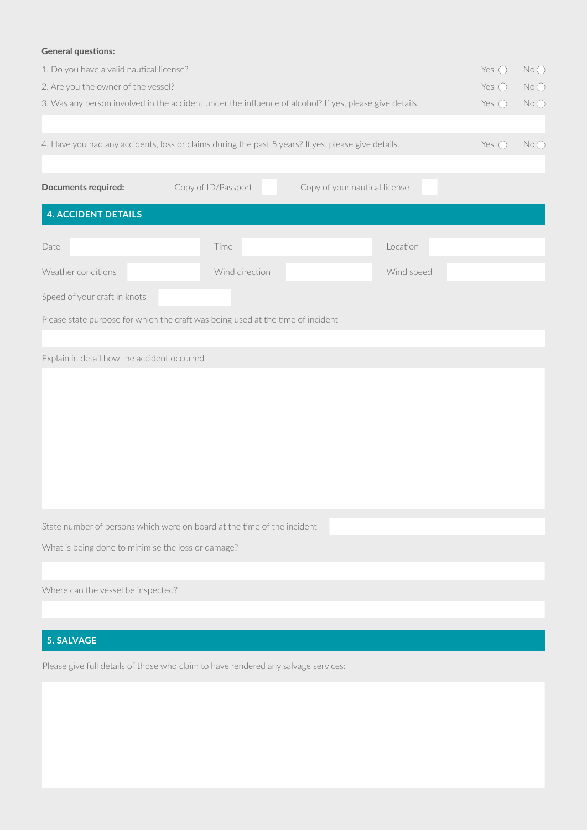# **General questions:**

| ochoral questions.                                                                                                          |                                                                                 |                               |                       |  |  |  |  |  |  |
|-----------------------------------------------------------------------------------------------------------------------------|---------------------------------------------------------------------------------|-------------------------------|-----------------------|--|--|--|--|--|--|
| 1. Do you have a valid nautical license?                                                                                    |                                                                                 |                               | NoO<br>Yes $\bigcirc$ |  |  |  |  |  |  |
| 2. Are you the owner of the vessel?                                                                                         |                                                                                 |                               | Yes $\bigcirc$<br>No  |  |  |  |  |  |  |
| 3. Was any person involved in the accident under the influence of alcohol? If yes, please give details.                     | No<br>Yes $\bigcirc$                                                            |                               |                       |  |  |  |  |  |  |
|                                                                                                                             |                                                                                 |                               |                       |  |  |  |  |  |  |
| 4. Have you had any accidents, loss or claims during the past 5 years? If yes, please give details.<br>Yes $\bigcirc$<br>No |                                                                                 |                               |                       |  |  |  |  |  |  |
|                                                                                                                             |                                                                                 |                               |                       |  |  |  |  |  |  |
| Documents required:                                                                                                         | Copy of ID/Passport                                                             | Copy of your nautical license |                       |  |  |  |  |  |  |
|                                                                                                                             |                                                                                 |                               |                       |  |  |  |  |  |  |
| <b>4. ACCIDENT DETAILS</b>                                                                                                  |                                                                                 |                               |                       |  |  |  |  |  |  |
|                                                                                                                             |                                                                                 |                               |                       |  |  |  |  |  |  |
| Date                                                                                                                        | Time                                                                            | Location                      |                       |  |  |  |  |  |  |
| Weather conditions                                                                                                          | Wind direction                                                                  | Wind speed                    |                       |  |  |  |  |  |  |
| Speed of your craft in knots                                                                                                |                                                                                 |                               |                       |  |  |  |  |  |  |
|                                                                                                                             | Please state purpose for which the craft was being used at the time of incident |                               |                       |  |  |  |  |  |  |
|                                                                                                                             |                                                                                 |                               |                       |  |  |  |  |  |  |
| Explain in detail how the accident occurred                                                                                 |                                                                                 |                               |                       |  |  |  |  |  |  |
|                                                                                                                             |                                                                                 |                               |                       |  |  |  |  |  |  |
|                                                                                                                             |                                                                                 |                               |                       |  |  |  |  |  |  |
|                                                                                                                             |                                                                                 |                               |                       |  |  |  |  |  |  |
|                                                                                                                             |                                                                                 |                               |                       |  |  |  |  |  |  |
|                                                                                                                             |                                                                                 |                               |                       |  |  |  |  |  |  |
|                                                                                                                             |                                                                                 |                               |                       |  |  |  |  |  |  |
|                                                                                                                             |                                                                                 |                               |                       |  |  |  |  |  |  |
|                                                                                                                             |                                                                                 |                               |                       |  |  |  |  |  |  |
|                                                                                                                             |                                                                                 |                               |                       |  |  |  |  |  |  |
|                                                                                                                             | State number of persons which were on board at the time of the incident         |                               |                       |  |  |  |  |  |  |
| What is being done to minimise the loss or damage?                                                                          |                                                                                 |                               |                       |  |  |  |  |  |  |
|                                                                                                                             |                                                                                 |                               |                       |  |  |  |  |  |  |
| Where can the vessel be inspected?                                                                                          |                                                                                 |                               |                       |  |  |  |  |  |  |

# **5. SALVAGE**

Please give full details of those who claim to have rendered any salvage services: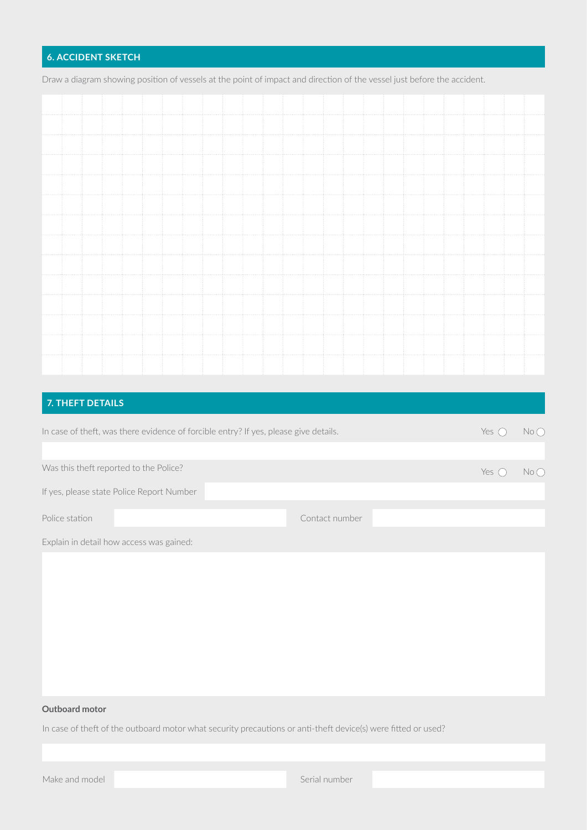# **6. ACCIDENT SKETCH**

Draw a diagram showing position of vessels at the point of impact and direction of the vessel just before the accident.

# **7. THEFT DETAILS**

| Yes (<br>In case of theft, was there evidence of forcible entry? If yes, please give details. |               |                 |  |  |  |  |  |  |
|-----------------------------------------------------------------------------------------------|---------------|-----------------|--|--|--|--|--|--|
|                                                                                               |               |                 |  |  |  |  |  |  |
| Was this theft reported to the Police?                                                        | Yes $\bigcap$ | $No$ $\bigcirc$ |  |  |  |  |  |  |
| If yes, please state Police Report Number                                                     |               |                 |  |  |  |  |  |  |
| Police station                                                                                |               |                 |  |  |  |  |  |  |
| Contact number                                                                                |               |                 |  |  |  |  |  |  |

Explain in detail how access was gained:

#### **Outboard motor**

In case of theft of the outboard motor what security precautions or anti-theft device(s) were fitted or used?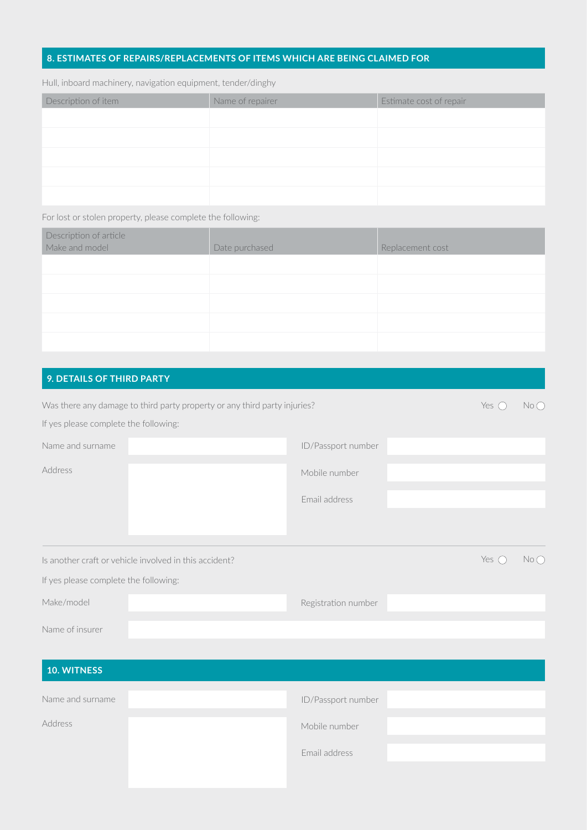#### **8. ESTIMATES OF REPAIRS/REPLACEMENTS OF ITEMS WHICH ARE BEING CLAIMED FOR**

Hull, inboard machinery, navigation equipment, tender/dinghy

| Description of item | Name of repairer | Estimate cost of repair |
|---------------------|------------------|-------------------------|
|                     |                  |                         |
|                     |                  |                         |
|                     |                  |                         |
|                     |                  |                         |
|                     |                  |                         |

For lost or stolen property, please complete the following:

| Description of article<br>Make and model | Date purchased | Replacement cost |
|------------------------------------------|----------------|------------------|
|                                          |                |                  |
|                                          |                |                  |
|                                          |                |                  |
|                                          |                |                  |
|                                          |                |                  |
|                                          |                |                  |

# **9. DETAILS OF THIRD PARTY**

| Was there any damage to third party property or any third party injuries? |  |                     |               |    |  |  |  |  |
|---------------------------------------------------------------------------|--|---------------------|---------------|----|--|--|--|--|
| If yes please complete the following:                                     |  |                     |               |    |  |  |  |  |
| Name and surname                                                          |  | ID/Passport number  |               |    |  |  |  |  |
| Address                                                                   |  | Mobile number       |               |    |  |  |  |  |
|                                                                           |  | Email address       |               |    |  |  |  |  |
|                                                                           |  |                     |               |    |  |  |  |  |
| Is another craft or vehicle involved in this accident?                    |  |                     | Yes $\bigcap$ | No |  |  |  |  |
| If yes please complete the following:                                     |  |                     |               |    |  |  |  |  |
| Make/model                                                                |  | Registration number |               |    |  |  |  |  |
| Name of insurer                                                           |  |                     |               |    |  |  |  |  |

| <b>10. WITNESS</b> |                    |
|--------------------|--------------------|
| Name and surname   | ID/Passport number |
| Address            | Mobile number      |
|                    | Email address      |
|                    |                    |